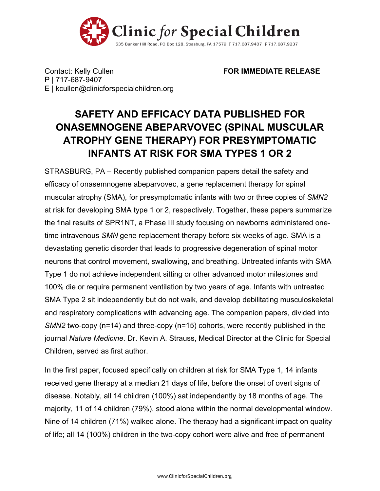

Contact: Kelly Cullen **FOR IMMEDIATE RELEASE** P | 717-687-9407 E | kcullen@clinicforspecialchildren.org

## **SAFETY AND EFFICACY DATA PUBLISHED FOR ONASEMNOGENE ABEPARVOVEC (SPINAL MUSCULAR ATROPHY GENE THERAPY) FOR PRESYMPTOMATIC INFANTS AT RISK FOR SMA TYPES 1 OR 2**

STRASBURG, PA – Recently published companion papers detail the safety and efficacy of onasemnogene abeparvovec, a gene replacement therapy for spinal muscular atrophy (SMA), for presymptomatic infants with two or three copies of *SMN2* at risk for developing SMA type 1 or 2, respectively. Together, these papers summarize the final results of SPR1NT, a Phase III study focusing on newborns administered onetime intravenous *SMN* gene replacement therapy before six weeks of age. SMA is a devastating genetic disorder that leads to progressive degeneration of spinal motor neurons that control movement, swallowing, and breathing. Untreated infants with SMA Type 1 do not achieve independent sitting or other advanced motor milestones and 100% die or require permanent ventilation by two years of age. Infants with untreated SMA Type 2 sit independently but do not walk, and develop debilitating musculoskeletal and respiratory complications with advancing age. The companion papers, divided into *SMN2* two-copy (n=14) and three-copy (n=15) cohorts, were recently published in the journal *Nature Medicine*. Dr. Kevin A. Strauss, Medical Director at the Clinic for Special Children, served as first author.

In the first paper, focused specifically on children at risk for SMA Type 1, 14 infants received gene therapy at a median 21 days of life, before the onset of overt signs of disease. Notably, all 14 children (100%) sat independently by 18 months of age. The majority, 11 of 14 children (79%), stood alone within the normal developmental window. Nine of 14 children (71%) walked alone. The therapy had a significant impact on quality of life; all 14 (100%) children in the two-copy cohort were alive and free of permanent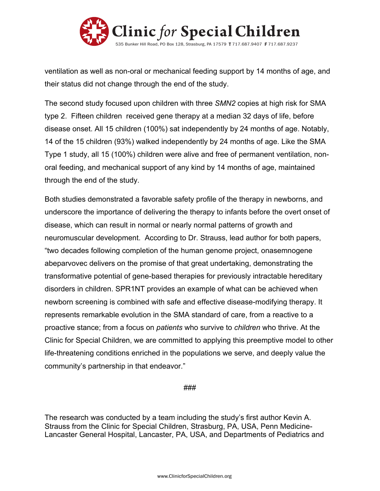

ventilation as well as non-oral or mechanical feeding support by 14 months of age, and their status did not change through the end of the study.

The second study focused upon children with three *SMN2* copies at high risk for SMA type 2. Fifteen children received gene therapy at a median 32 days of life, before disease onset. All 15 children (100%) sat independently by 24 months of age. Notably, 14 of the 15 children (93%) walked independently by 24 months of age. Like the SMA Type 1 study, all 15 (100%) children were alive and free of permanent ventilation, nonoral feeding, and mechanical support of any kind by 14 months of age, maintained through the end of the study.

Both studies demonstrated a favorable safety profile of the therapy in newborns, and underscore the importance of delivering the therapy to infants before the overt onset of disease, which can result in normal or nearly normal patterns of growth and neuromuscular development. According to Dr. Strauss, lead author for both papers, "two decades following completion of the human genome project, onasemnogene abeparvovec delivers on the promise of that great undertaking, demonstrating the transformative potential of gene-based therapies for previously intractable hereditary disorders in children. SPR1NT provides an example of what can be achieved when newborn screening is combined with safe and effective disease-modifying therapy. It represents remarkable evolution in the SMA standard of care, from a reactive to a proactive stance; from a focus on *patients* who survive to *children* who thrive. At the Clinic for Special Children, we are committed to applying this preemptive model to other life-threatening conditions enriched in the populations we serve, and deeply value the community's partnership in that endeavor."

## ###

The research was conducted by a team including the study's first author Kevin A. Strauss from the Clinic for Special Children, Strasburg, PA, USA, Penn Medicine-Lancaster General Hospital, Lancaster, PA, USA, and Departments of Pediatrics and